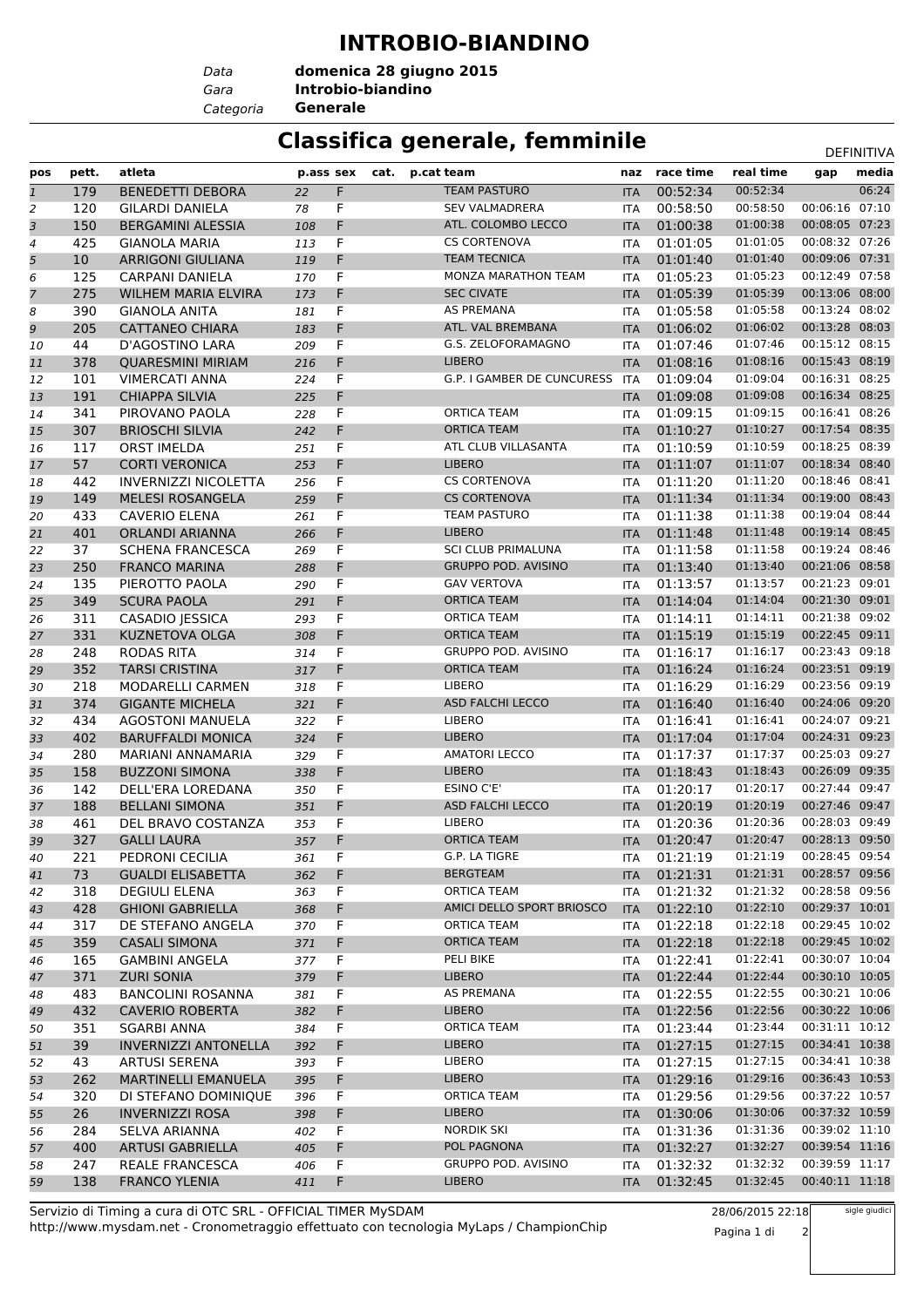## **INTROBIO-BIANDINO**

*Data Categoria* **Generale**

*Gara* **Introbio-biandino domenica 28 giugno 2015**

## **Classifica generale, femminile** DeFINITIVA

|                |                 |                                                  |           |                 |      |                            |            |               |           |                | <b>レㄴ!!!!!!!!</b> |
|----------------|-----------------|--------------------------------------------------|-----------|-----------------|------|----------------------------|------------|---------------|-----------|----------------|-------------------|
| pos            | pett.           | atleta                                           | p.ass sex |                 | cat. | p.cat team                 |            | naz race time | real time | gap            | media             |
| $\mathbf{1}$   | 179             | <b>BENEDETTI DEBORA</b>                          | 22        | F               |      | <b>TEAM PASTURO</b>        | <b>ITA</b> | 00:52:34      | 00:52:34  |                | 06:24             |
| $\overline{2}$ | 120             | <b>GILARDI DANIELA</b>                           | 78        | F               |      | <b>SEV VALMADRERA</b>      | <b>ITA</b> | 00:58:50      | 00:58:50  | 00:06:16       | 07:10             |
| 3              | 150             | <b>BERGAMINI ALESSIA</b>                         | 108       | F               |      | ATL. COLOMBO LECCO         | <b>ITA</b> | 01:00:38      | 01:00:38  | 00:08:05       | 07:23             |
| 4              | 425             | <b>GIANOLA MARIA</b>                             | 113       | F               |      | <b>CS CORTENOVA</b>        | <b>ITA</b> | 01:01:05      | 01:01:05  | 00:08:32 07:26 |                   |
| 5              | 10 <sup>°</sup> | <b>ARRIGONI GIULIANA</b>                         | 119       | F               |      | <b>TEAM TECNICA</b>        | <b>ITA</b> | 01:01:40      | 01:01:40  | 00:09:06 07:31 |                   |
| 6              | 125             | CARPANI DANIELA                                  | 170       | F               |      | MONZA MARATHON TEAM        | <b>ITA</b> | 01:05:23      | 01:05:23  | 00:12:49 07:58 |                   |
| 7              | 275             | <b>WILHEM MARIA ELVIRA</b>                       | 173       | F               |      | <b>SEC CIVATE</b>          | <b>ITA</b> | 01:05:39      | 01:05:39  | 00:13:06 08:00 |                   |
| 8              | 390             | <b>GIANOLA ANITA</b>                             | 181       | F.              |      | <b>AS PREMANA</b>          | <b>ITA</b> | 01:05:58      | 01:05:58  | 00:13:24 08:02 |                   |
| 9              | 205             | <b>CATTANEO CHIARA</b>                           | 183       | F               |      | ATL. VAL BREMBANA          | <b>ITA</b> | 01:06:02      | 01:06:02  | 00:13:28 08:03 |                   |
| 10             | 44              | D'AGOSTINO LARA                                  | 209       | F               |      | G.S. ZELOFORAMAGNO         | <b>ITA</b> | 01:07:46      | 01:07:46  | 00:15:12 08:15 |                   |
| 11             | 378             | <b>QUARESMINI MIRIAM</b>                         | 216       | F               |      | <b>LIBERO</b>              | <b>ITA</b> | 01:08:16      | 01:08:16  | 00:15:43 08:19 |                   |
| 12             | 101             | <b>VIMERCATI ANNA</b>                            | 224       | F               |      | G.P. I GAMBER DE CUNCURESS | <b>ITA</b> | 01:09:04      | 01:09:04  | 00:16:31 08:25 |                   |
| 13             | 191             | <b>CHIAPPA SILVIA</b>                            | 225       | F               |      |                            | <b>ITA</b> | 01:09:08      | 01:09:08  | 00:16:34 08:25 |                   |
| 14             | 341             | PIROVANO PAOLA                                   | 228       | $\widetilde{F}$ |      | <b>ORTICA TEAM</b>         | <b>ITA</b> | 01:09:15      | 01:09:15  | 00:16:41 08:26 |                   |
| 15             | 307             | <b>BRIOSCHI SILVIA</b>                           | 242       | F               |      | <b>ORTICA TEAM</b>         | <b>ITA</b> | 01:10:27      | 01:10:27  | 00:17:54 08:35 |                   |
| 16             | 117             | <b>ORST IMELDA</b>                               | 251       | F               |      | ATL CLUB VILLASANTA        | <b>ITA</b> | 01:10:59      | 01:10:59  | 00:18:25 08:39 |                   |
| 17             | 57              | <b>CORTI VERONICA</b>                            | 253       | F               |      | <b>LIBERO</b>              | <b>ITA</b> | 01:11:07      | 01:11:07  | 00:18:34 08:40 |                   |
| 18             | 442             | <b>INVERNIZZI NICOLETTA</b>                      | 256       | F               |      | <b>CS CORTENOVA</b>        | <b>ITA</b> | 01:11:20      | 01:11:20  | 00:18:46 08:41 |                   |
| 19             | 149             | <b>MELESI ROSANGELA</b>                          | 259       | F               |      | <b>CS CORTENOVA</b>        | <b>ITA</b> | 01:11:34      | 01:11:34  | 00:19:00 08:43 |                   |
| 20             | 433             | <b>CAVERIO ELENA</b>                             | 261       | F.              |      | <b>TEAM PASTURO</b>        | <b>ITA</b> | 01:11:38      | 01:11:38  | 00:19:04 08:44 |                   |
| 21             | 401             | <b>ORLANDI ARIANNA</b>                           | 266       | F               |      | <b>LIBERO</b>              | <b>ITA</b> | 01:11:48      | 01:11:48  | 00:19:14 08:45 |                   |
| 22             | 37              | <b>SCHENA FRANCESCA</b>                          | 269       | F               |      | <b>SCI CLUB PRIMALUNA</b>  | <b>ITA</b> | 01:11:58      | 01:11:58  | 00:19:24 08:46 |                   |
| 23             | 250             | <b>FRANCO MARINA</b>                             | 288       | F               |      | <b>GRUPPO POD. AVISINO</b> | <b>ITA</b> | 01:13:40      | 01:13:40  | 00:21:06 08:58 |                   |
| 24             | 135             | PIEROTTO PAOLA                                   | 290       | F               |      | <b>GAV VERTOVA</b>         | <b>ITA</b> | 01:13:57      | 01:13:57  | 00:21:23 09:01 |                   |
| 25             | 349             | <b>SCURA PAOLA</b>                               | 291       | F               |      | <b>ORTICA TEAM</b>         | <b>ITA</b> | 01:14:04      | 01:14:04  | 00:21:30 09:01 |                   |
| 26             | 311             | CASADIO JESSICA                                  | 293       | F               |      | <b>ORTICA TEAM</b>         | <b>ITA</b> | 01:14:11      | 01:14:11  | 00:21:38 09:02 |                   |
| 27             | 331             | <b>KUZNETOVA OLGA</b>                            | 308       | F               |      | <b>ORTICA TEAM</b>         | <b>ITA</b> | 01:15:19      | 01:15:19  | 00:22:45 09:11 |                   |
| 28             | 248             | <b>RODAS RITA</b>                                | 314       | F               |      | <b>GRUPPO POD. AVISINO</b> | <b>ITA</b> | 01:16:17      | 01:16:17  | 00:23:43 09:18 |                   |
| 29             | 352             | <b>TARSI CRISTINA</b>                            | 317       | F               |      | <b>ORTICA TEAM</b>         | <b>ITA</b> | 01:16:24      | 01:16:24  | 00:23:51 09:19 |                   |
| 30             | 218             | MODARELLI CARMEN                                 | 318       | F               |      | <b>LIBERO</b>              | <b>ITA</b> | 01:16:29      | 01:16:29  | 00:23:56 09:19 |                   |
| 31             | 374             | <b>GIGANTE MICHELA</b>                           | 321       | F.              |      | ASD FALCHI LECCO           | <b>ITA</b> | 01:16:40      | 01:16:40  | 00:24:06 09:20 |                   |
| 32             | 434             | <b>AGOSTONI MANUELA</b>                          | 322       | F.              |      | <b>LIBERO</b>              | <b>ITA</b> | 01:16:41      | 01:16:41  | 00:24:07 09:21 |                   |
| 33             | 402             | <b>BARUFFALDI MONICA</b>                         | 324       | F               |      | <b>LIBERO</b>              | <b>ITA</b> | 01:17:04      | 01:17:04  | 00:24:31 09:23 |                   |
| 34             | 280             | <b>MARIANI ANNAMARIA</b>                         | 329       | F               |      | <b>AMATORI LECCO</b>       | <b>ITA</b> | 01:17:37      | 01:17:37  | 00:25:03 09:27 |                   |
| 35             | 158             | <b>BUZZONI SIMONA</b>                            | 338       | F               |      | <b>LIBERO</b>              | <b>ITA</b> | 01:18:43      | 01:18:43  | 00:26:09 09:35 |                   |
| 36             | 142             | DELL'ERA LOREDANA                                | 350       | F               |      | <b>ESINO C'E'</b>          | <b>ITA</b> | 01:20:17      | 01:20:17  | 00:27:44 09:47 |                   |
| 37             | 188             | <b>BELLANI SIMONA</b>                            | 351       | F.              |      | ASD FALCHI LECCO           | <b>ITA</b> | 01:20:19      | 01:20:19  | 00:27:46       | 09:47             |
| 38             | 461             | DEL BRAVO COSTANZA                               | 353       | F               |      | <b>LIBERO</b>              | <b>ITA</b> | 01:20:36      | 01:20:36  | 00:28:03 09:49 |                   |
| 39             | 327             | <b>GALLI LAURA</b>                               |           | F               |      | <b>ORTICA TEAM</b>         |            | 01:20:47      | 01:20:47  | 00:28:13 09:50 |                   |
|                |                 |                                                  | 357       |                 |      | G.P. LA TIGRE              | <b>ITA</b> | 01:21:19      | 01:21:19  | 00:28:45 09:54 |                   |
| 40             | 221             | PEDRONI CECILIA                                  | 361       | F               |      | <b>BERGTEAM</b>            | ITA        | 01:21:31      | 01:21:31  | 00:28:57 09:56 |                   |
| 41             | 73              | <b>GUALDI ELISABETTA</b><br><b>DEGIULI ELENA</b> | 362       | F               |      | ORTICA TEAM                | <b>ITA</b> |               | 01:21:32  | 00:28:58 09:56 |                   |
| 42             | 318             |                                                  | 363       | F.              |      |                            | <b>ITA</b> | 01:21:32      | 01:22:10  | 00:29:37 10:01 |                   |
| 43             | 428             | <b>GHIONI GABRIELLA</b>                          | 368       | F.              |      | AMICI DELLO SPORT BRIOSCO  | <b>ITA</b> | 01:22:10      | 01:22:18  | 00:29:45 10:02 |                   |
| 44             | 317             | DE STEFANO ANGELA                                | 370       | F               |      | ORTICA TEAM                | ITA        | 01:22:18      |           |                |                   |
| 45             | 359             | <b>CASALI SIMONA</b>                             | 371       | F               |      | <b>ORTICA TEAM</b>         | <b>ITA</b> | 01:22:18      | 01:22:18  | 00:29:45 10:02 |                   |
| 46             | 165             | <b>GAMBINI ANGELA</b>                            | 377       | F.              |      | PELI BIKE                  | <b>ITA</b> | 01:22:41      | 01:22:41  | 00:30:07 10:04 |                   |
| 47             | 371             | <b>ZURI SONIA</b>                                | 379       | F.              |      | <b>LIBERO</b>              | <b>ITA</b> | 01:22:44      | 01:22:44  | 00:30:10 10:05 |                   |
| 48             | 483             | <b>BANCOLINI ROSANNA</b>                         | 381       | F.              |      | AS PREMANA                 | <b>ITA</b> | 01:22:55      | 01:22:55  | 00:30:21 10:06 |                   |
| 49             | 432             | <b>CAVERIO ROBERTA</b>                           | 382       | F.              |      | <b>LIBERO</b>              | <b>ITA</b> | 01:22:56      | 01:22:56  | 00:30:22 10:06 |                   |
| 50             | 351             | <b>SGARBI ANNA</b>                               | 384       | F               |      | ORTICA TEAM                | ITA        | 01:23:44      | 01:23:44  | 00:31:11 10:12 |                   |
| 51             | 39              | <b>INVERNIZZI ANTONELLA</b>                      | 392       | F               |      | <b>LIBERO</b>              | <b>ITA</b> | 01:27:15      | 01:27:15  | 00:34:41 10:38 |                   |
| 52             | 43              | ARTUSI SERENA                                    | 393       | F.              |      | <b>LIBERO</b>              | ITA        | 01:27:15      | 01:27:15  | 00:34:41 10:38 |                   |
| 53             | 262             | MARTINELLI EMANUELA                              | 395       | F.              |      | <b>LIBERO</b>              | <b>ITA</b> | 01:29:16      | 01:29:16  | 00:36:43 10:53 |                   |
| 54             | 320             | DI STEFANO DOMINIQUE                             | 396       | F.              |      | ORTICA TEAM                | <b>ITA</b> | 01:29:56      | 01:29:56  | 00:37:22 10:57 |                   |
| 55             | 26              | <b>INVERNIZZI ROSA</b>                           | 398       | F.              |      | LIBERO                     | <b>ITA</b> | 01:30:06      | 01:30:06  | 00:37:32 10:59 |                   |
| 56             | 284             | SELVA ARIANNA                                    | 402       | $\mathsf F$     |      | <b>NORDIK SKI</b>          | ITA        | 01:31:36      | 01:31:36  | 00:39:02 11:10 |                   |
| 57             | 400             | ARTUSI GABRIELLA                                 | 405       | F               |      | POL PAGNONA                | <b>ITA</b> | 01:32:27      | 01:32:27  | 00:39:54 11:16 |                   |
| 58             | 247             | REALE FRANCESCA                                  | 406       | F.              |      | GRUPPO POD. AVISINO        | ITA        | 01:32:32      | 01:32:32  | 00:39:59 11:17 |                   |
| 59             | 138             | <b>FRANCO YLENIA</b>                             | 411       | F.              |      | LIBERO                     | <b>ITA</b> | 01:32:45      | 01:32:45  | 00:40:11 11:18 |                   |

http://www.mysdam.net - Cronometraggio effettuato con tecnologia MyLaps / ChampionChip Servizio di Timing a cura di OTC SRL - OFFICIAL TIMER MySDAM

28/06/2015 22:18 Pagina 1 di 2

sigle giudici